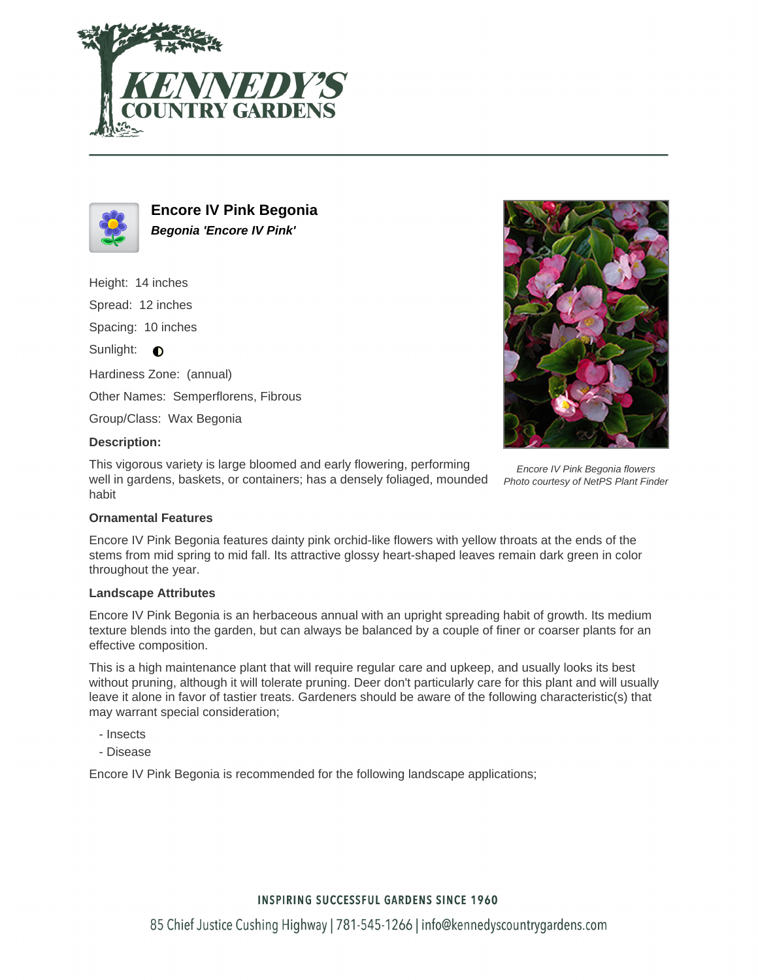



**Encore IV Pink Begonia Begonia 'Encore IV Pink'**

Height: 14 inches

Spread: 12 inches

Spacing: 10 inches

Sunlight:  $\bigcirc$ 

Hardiness Zone: (annual)

Other Names: Semperflorens, Fibrous

Group/Class: Wax Begonia

### **Description:**

This vigorous variety is large bloomed and early flowering, performing well in gardens, baskets, or containers; has a densely foliaged, mounded habit



Encore IV Pink Begonia flowers Photo courtesy of NetPS Plant Finder

#### **Ornamental Features**

Encore IV Pink Begonia features dainty pink orchid-like flowers with yellow throats at the ends of the stems from mid spring to mid fall. Its attractive glossy heart-shaped leaves remain dark green in color throughout the year.

#### **Landscape Attributes**

Encore IV Pink Begonia is an herbaceous annual with an upright spreading habit of growth. Its medium texture blends into the garden, but can always be balanced by a couple of finer or coarser plants for an effective composition.

This is a high maintenance plant that will require regular care and upkeep, and usually looks its best without pruning, although it will tolerate pruning. Deer don't particularly care for this plant and will usually leave it alone in favor of tastier treats. Gardeners should be aware of the following characteristic(s) that may warrant special consideration;

- Insects
- Disease

Encore IV Pink Begonia is recommended for the following landscape applications;

## **INSPIRING SUCCESSFUL GARDENS SINCE 1960**

85 Chief Justice Cushing Highway | 781-545-1266 | info@kennedyscountrygardens.com